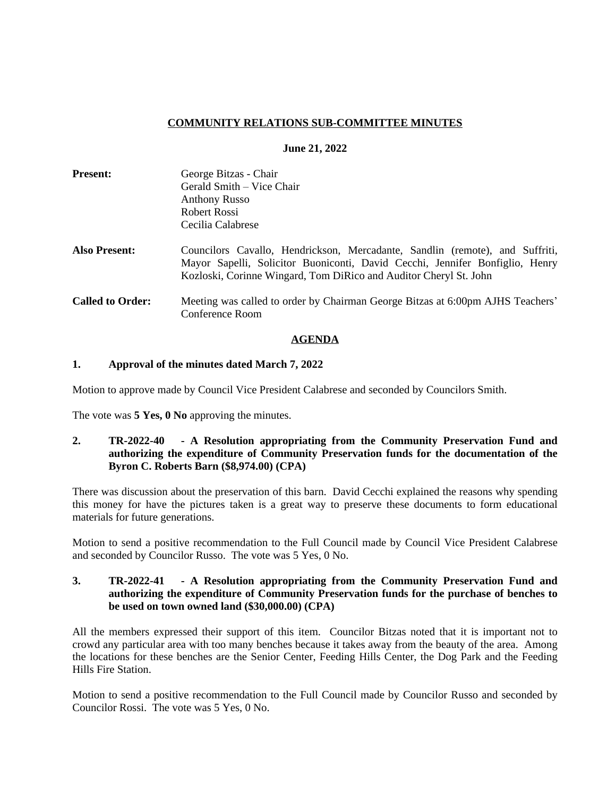## **COMMUNITY RELATIONS SUB-COMMITTEE MINUTES**

#### **June 21, 2022**

| <b>Present:</b>         | George Bitzas - Chair                                                                                                                                                                                                             |
|-------------------------|-----------------------------------------------------------------------------------------------------------------------------------------------------------------------------------------------------------------------------------|
|                         | Gerald Smith - Vice Chair                                                                                                                                                                                                         |
|                         | <b>Anthony Russo</b>                                                                                                                                                                                                              |
|                         | Robert Rossi                                                                                                                                                                                                                      |
|                         | Cecilia Calabrese                                                                                                                                                                                                                 |
| <b>Also Present:</b>    | Councilors Cavallo, Hendrickson, Mercadante, Sandlin (remote), and Suffriti,<br>Mayor Sapelli, Solicitor Buoniconti, David Cecchi, Jennifer Bonfiglio, Henry<br>Kozloski, Corinne Wingard, Tom DiRico and Auditor Cheryl St. John |
| <b>Called to Order:</b> | Meeting was called to order by Chairman George Bitzas at 6:00pm AJHS Teachers'<br>Conference Room                                                                                                                                 |

#### **AGENDA**

#### **1. Approval of the minutes dated March 7, 2022**

Motion to approve made by Council Vice President Calabrese and seconded by Councilors Smith.

The vote was **5 Yes, 0 No** approving the minutes.

**2. TR-2022-40 - A Resolution appropriating from the Community Preservation Fund and authorizing the expenditure of Community Preservation funds for the documentation of the Byron C. Roberts Barn (\$8,974.00) (CPA)**

There was discussion about the preservation of this barn. David Cecchi explained the reasons why spending this money for have the pictures taken is a great way to preserve these documents to form educational materials for future generations.

Motion to send a positive recommendation to the Full Council made by Council Vice President Calabrese and seconded by Councilor Russo. The vote was 5 Yes, 0 No.

## **3. TR-2022-41 - A Resolution appropriating from the Community Preservation Fund and authorizing the expenditure of Community Preservation funds for the purchase of benches to be used on town owned land (\$30,000.00) (CPA)**

All the members expressed their support of this item. Councilor Bitzas noted that it is important not to crowd any particular area with too many benches because it takes away from the beauty of the area. Among the locations for these benches are the Senior Center, Feeding Hills Center, the Dog Park and the Feeding Hills Fire Station.

Motion to send a positive recommendation to the Full Council made by Councilor Russo and seconded by Councilor Rossi. The vote was 5 Yes, 0 No.